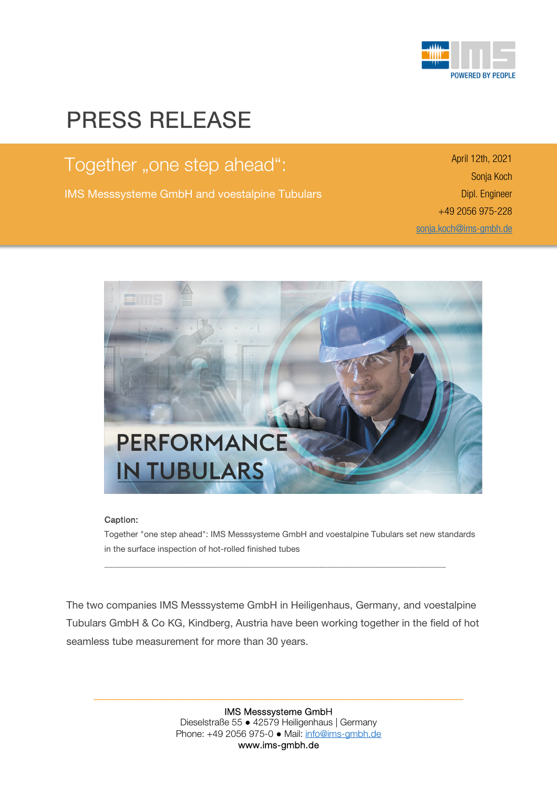

## PRESS RELEASE

 $\overline{a}$ 

Together "one step ahead":

IMS Messsysteme GmbH and voestalpine Tubulars

April 12th, 2021 Sonja Koch Dipl. Engineer +49 2056 975-228 sonja.koch@ims-gmbh.de



i

## Caption:

Together "one step ahead": IMS Messsysteme GmbH and voestalpine Tubulars set new standards in the surface inspection of hot-rolled finished tubes

The two companies IMS Messsysteme GmbH in Heiligenhaus, Germany, and voestalpine Tubulars GmbH & Co KG, Kindberg, Austria have been working together in the field of hot seamless tube measurement for more than 30 years.

\_\_\_\_\_\_\_\_\_\_\_\_\_\_\_\_\_\_\_\_\_\_\_\_\_\_\_\_\_\_\_\_\_\_\_\_\_\_\_\_\_\_\_\_\_\_\_\_\_\_\_\_\_\_\_\_\_\_\_\_\_\_\_\_\_\_\_\_\_\_\_\_\_\_\_\_\_\_\_\_\_

IMS Messsysteme GmbH Dieselstraße 55 ● 42579 Heiligenhaus | Germany Phone: +49 2056 975-0 ● Mail: info@ims-gmbh.de www.ims-gmbh.de

\_\_\_\_\_\_\_\_\_\_\_\_\_\_\_\_\_\_\_\_\_\_\_\_\_\_\_\_\_\_\_\_\_\_\_\_\_\_\_\_\_\_\_\_\_\_\_\_\_\_\_\_\_\_\_\_\_\_\_\_\_\_\_\_\_\_\_\_\_\_\_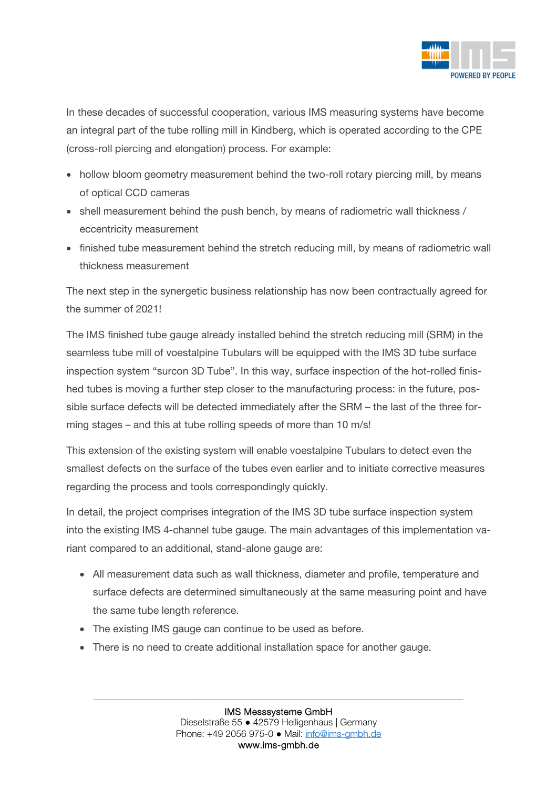

In these decades of successful cooperation, various IMS measuring systems have become an integral part of the tube rolling mill in Kindberg, which is operated according to the CPE (cross-roll piercing and elongation) process. For example:

- hollow bloom geometry measurement behind the two-roll rotary piercing mill, by means of optical CCD cameras
- shell measurement behind the push bench, by means of radiometric wall thickness / eccentricity measurement
- finished tube measurement behind the stretch reducing mill, by means of radiometric wall thickness measurement

The next step in the synergetic business relationship has now been contractually agreed for the summer of 2021!

The IMS finished tube gauge already installed behind the stretch reducing mill (SRM) in the seamless tube mill of voestalpine Tubulars will be equipped with the IMS 3D tube surface inspection system "surcon 3D Tube". In this way, surface inspection of the hot-rolled finished tubes is moving a further step closer to the manufacturing process: in the future, possible surface defects will be detected immediately after the SRM – the last of the three forming stages – and this at tube rolling speeds of more than 10 m/s!

This extension of the existing system will enable voestalpine Tubulars to detect even the smallest defects on the surface of the tubes even earlier and to initiate corrective measures regarding the process and tools correspondingly quickly.

In detail, the project comprises integration of the IMS 3D tube surface inspection system into the existing IMS 4-channel tube gauge. The main advantages of this implementation variant compared to an additional, stand-alone gauge are:

- All measurement data such as wall thickness, diameter and profile, temperature and surface defects are determined simultaneously at the same measuring point and have the same tube length reference.
- The existing IMS gauge can continue to be used as before.
- There is no need to create additional installation space for another gauge.

\_\_\_\_\_\_\_\_\_\_\_\_\_\_\_\_\_\_\_\_\_\_\_\_\_\_\_\_\_\_\_\_\_\_\_\_\_\_\_\_\_\_\_\_\_\_\_\_\_\_\_\_\_\_\_\_\_\_\_\_\_\_\_\_\_\_\_\_\_\_\_